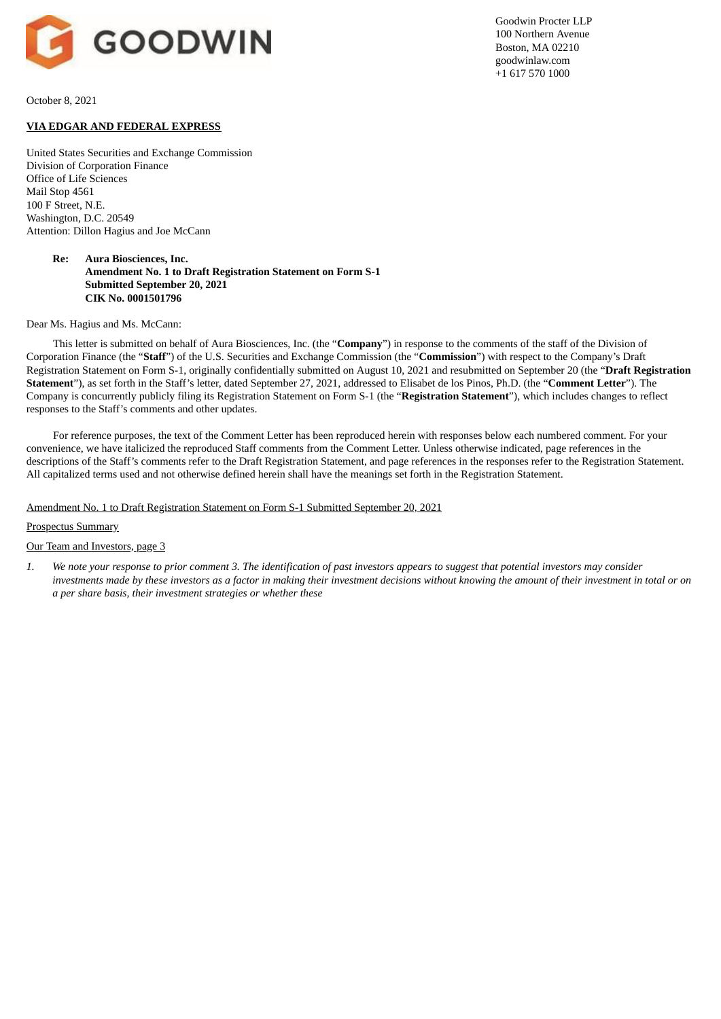

Goodwin Procter LLP 100 Northern Avenue Boston, MA 02210 goodwinlaw.com +1 617 570 1000

October 8, 2021

# **VIA EDGAR AND FEDERAL EXPRESS**

United States Securities and Exchange Commission Division of Corporation Finance Office of Life Sciences Mail Stop 4561 100 F Street, N.E. Washington, D.C. 20549 Attention: Dillon Hagius and Joe McCann

# **Re: Aura Biosciences, Inc. Amendment No. 1 to Draft Registration Statement on Form S-1 Submitted September 20, 2021 CIK No. 0001501796**

#### Dear Ms. Hagius and Ms. McCann:

This letter is submitted on behalf of Aura Biosciences, Inc. (the "**Company**") in response to the comments of the staff of the Division of Corporation Finance (the "**Staff**") of the U.S. Securities and Exchange Commission (the "**Commission**") with respect to the Company's Draft Registration Statement on Form S-1, originally confidentially submitted on August 10, 2021 and resubmitted on September 20 (the "**Draft Registration Statement**"), as set forth in the Staff's letter, dated September 27, 2021, addressed to Elisabet de los Pinos, Ph.D. (the "**Comment Letter**"). The Company is concurrently publicly filing its Registration Statement on Form S-1 (the "**Registration Statement**"), which includes changes to reflect responses to the Staff's comments and other updates.

For reference purposes, the text of the Comment Letter has been reproduced herein with responses below each numbered comment. For your convenience, we have italicized the reproduced Staff comments from the Comment Letter. Unless otherwise indicated, page references in the descriptions of the Staff's comments refer to the Draft Registration Statement, and page references in the responses refer to the Registration Statement. All capitalized terms used and not otherwise defined herein shall have the meanings set forth in the Registration Statement.

# Amendment No. 1 to Draft Registration Statement on Form S-1 Submitted September 20, 2021

## Prospectus Summary

#### Our Team and Investors, page 3

1. We note your response to prior comment 3. The identification of past investors appears to suggest that potential investors may consider investments made by these investors as a factor in making their investment decisions without knowing the amount of their investment in total or on *a per share basis, their investment strategies or whether these*